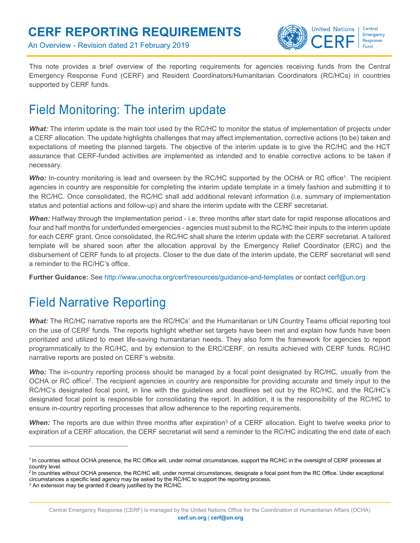An Overview - Revision dated 21 February 2019



This note provides a brief overview of the reporting requirements for agencies receiving funds from the Central Emergency Response Fund (CERF) and Resident Coordinators/Humanitarian Coordinators (RC/HCs) in countries supported by CERF funds.

# Field Monitoring: The interim update

*What:* The interim update is the main tool used by the RC/HC to monitor the status of implementation of projects under a CERF allocation. The update highlights challenges that may affect implementation, corrective actions (to be) taken and expectations of meeting the planned targets. The objective of the interim update is to give the RC/HC and the HCT assurance that CERF-funded activities are implemented as intended and to enable corrective actions to be taken if necessary.

Who: In-country monitoring is lead and overseen by the RC/HC supported by the OCHA or RC office<sup>1</sup>. The recipient agencies in country are responsible for completing the interim update template in a timely fashion and submitting it to the RC/HC. Once consolidated, the RC/HC shall add additional relevant information (i.e. summary of implementation status and potential actions and follow-up) and share the interim update with the CERF secretariat.

*When:* Halfway through the implementation period - i.e. three months after start date for rapid response allocations and four and half months for underfunded emergencies - agencies must submit to the RC/HC their inputs to the interim update for each CERF grant. Once consolidated, the RC/HC shall share the interim update with the CERF secretariat. A tailored template will be shared soon after the allocation approval by the Emergency Relief Coordinator (ERC) and the disbursement of CERF funds to all projects. Closer to the due date of the interim update, the CERF secretariat will send a reminder to the RC/HC's office.

**Further Guidance:** See http://www.unocha.org/cerf/resources/guidance-and-templates or contact cerf@un.org

# Field Narrative Reporting

*What:* The RC/HC narrative reports are the RC/HCs' and the Humanitarian or UN Country Teams official reporting tool on the use of CERF funds. The reports highlight whether set targets have been met and explain how funds have been prioritized and utilized to meet life-saving humanitarian needs. They also form the framework for agencies to report programmatically to the RC/HC, and by extension to the ERC/CERF, on results achieved with CERF funds. RC/HC narrative reports are posted on CERF's website.

*Who:* The in-country reporting process should be managed by a focal point designated by RC/HC, usually from the OCHA or RC office<sup>2</sup>. The recipient agencies in country are responsible for providing accurate and timely input to the RC/HC's designated focal point, in line with the guidelines and deadlines set out by the RC/HC, and the RC/HC's designated focal point is responsible for consolidating the report. In addition, it is the responsibility of the RC/HC to ensure in-country reporting processes that allow adherence to the reporting requirements.

When: The reports are due within three months after expiration<sup>3</sup> of a CERF allocation. Eight to twelve weeks prior to expiration of a CERF allocation, the CERF secretariat will send a reminder to the RC/HC indicating the end date of each

 $\overline{a}$ 

<sup>1</sup>In countries without OCHA presence, the RC Office will, under normal circumstances, support the RC/HC in the oversight of CERF processes at country level.

<sup>&</sup>lt;sup>2</sup> In countries without OCHA presence, the RC/HC will, under normal circumstances, designate a focal point from the RC Office. Under exceptional circumstances a specific lead agency may be asked by the RC/HC to support the reporting process.

 $3$  An extension may be granted if clearly justified by the RC/HC.